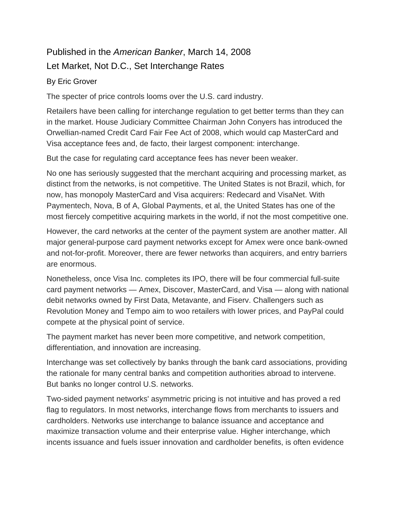## Published in the *American Banker*, March 14, 2008 Let Market, Not D.C., Set Interchange Rates

## By Eric Grover

The specter of price controls looms over the U.S. card industry.

Retailers have been calling for interchange regulation to get better terms than they can in the market. House Judiciary Committee Chairman John Conyers has introduced the Orwellian-named Credit Card Fair Fee Act of 2008, which would cap MasterCard and Visa acceptance fees and, de facto, their largest component: interchange.

But the case for regulating card acceptance fees has never been weaker.

No one has seriously suggested that the merchant acquiring and processing market, as distinct from the networks, is not competitive. The United States is not Brazil, which, for now, has monopoly MasterCard and Visa acquirers: Redecard and VisaNet. With Paymentech, Nova, B of A, Global Payments, et al, the United States has one of the most fiercely competitive acquiring markets in the world, if not the most competitive one.

However, the card networks at the center of the payment system are another matter. All major general-purpose card payment networks except for Amex were once bank-owned and not-for-profit. Moreover, there are fewer networks than acquirers, and entry barriers are enormous.

Nonetheless, once Visa Inc. completes its IPO, there will be four commercial full-suite card payment networks — Amex, Discover, MasterCard, and Visa — along with national debit networks owned by First Data, Metavante, and Fiserv. Challengers such as Revolution Money and Tempo aim to woo retailers with lower prices, and PayPal could compete at the physical point of service.

The payment market has never been more competitive, and network competition, differentiation, and innovation are increasing.

Interchange was set collectively by banks through the bank card associations, providing the rationale for many central banks and competition authorities abroad to intervene. But banks no longer control U.S. networks.

Two-sided payment networks' asymmetric pricing is not intuitive and has proved a red flag to regulators. In most networks, interchange flows from merchants to issuers and cardholders. Networks use interchange to balance issuance and acceptance and maximize transaction volume and their enterprise value. Higher interchange, which incents issuance and fuels issuer innovation and cardholder benefits, is often evidence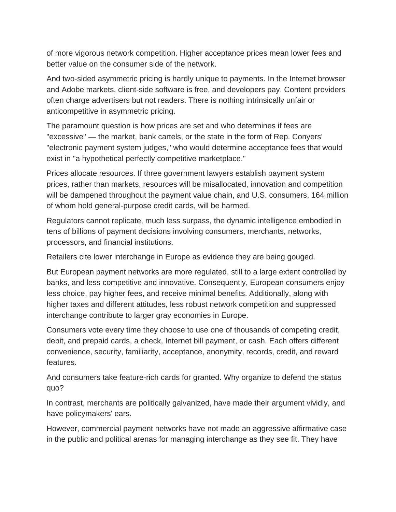of more vigorous network competition. Higher acceptance prices mean lower fees and better value on the consumer side of the network.

And two-sided asymmetric pricing is hardly unique to payments. In the Internet browser and Adobe markets, client-side software is free, and developers pay. Content providers often charge advertisers but not readers. There is nothing intrinsically unfair or anticompetitive in asymmetric pricing.

The paramount question is how prices are set and who determines if fees are "excessive" — the market, bank cartels, or the state in the form of Rep. Conyers' "electronic payment system judges," who would determine acceptance fees that would exist in "a hypothetical perfectly competitive marketplace."

Prices allocate resources. If three government lawyers establish payment system prices, rather than markets, resources will be misallocated, innovation and competition will be dampened throughout the payment value chain, and U.S. consumers, 164 million of whom hold general-purpose credit cards, will be harmed.

Regulators cannot replicate, much less surpass, the dynamic intelligence embodied in tens of billions of payment decisions involving consumers, merchants, networks, processors, and financial institutions.

Retailers cite lower interchange in Europe as evidence they are being gouged.

But European payment networks are more regulated, still to a large extent controlled by banks, and less competitive and innovative. Consequently, European consumers enjoy less choice, pay higher fees, and receive minimal benefits. Additionally, along with higher taxes and different attitudes, less robust network competition and suppressed interchange contribute to larger gray economies in Europe.

Consumers vote every time they choose to use one of thousands of competing credit, debit, and prepaid cards, a check, Internet bill payment, or cash. Each offers different convenience, security, familiarity, acceptance, anonymity, records, credit, and reward features.

And consumers take feature-rich cards for granted. Why organize to defend the status quo?

In contrast, merchants are politically galvanized, have made their argument vividly, and have policymakers' ears.

However, commercial payment networks have not made an aggressive affirmative case in the public and political arenas for managing interchange as they see fit. They have